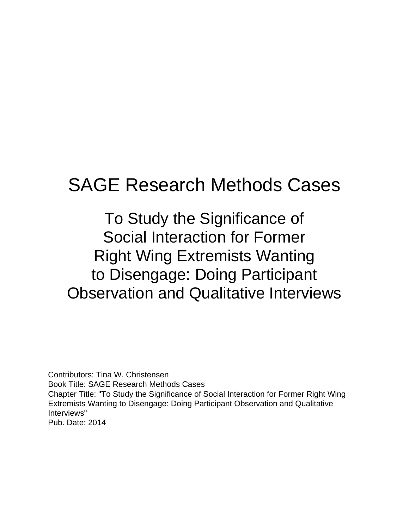# SAGE Research Methods Cases

To Study the Significance of Social Interaction for Former Right Wing Extremists Wanting to Disengage: Doing Participant Observation and Qualitative Interviews

Contributors: Tina W. Christensen Book Title: SAGE Research Methods Cases Chapter Title: "To Study the Significance of Social Interaction for Former Right Wing Extremists Wanting to Disengage: Doing Participant Observation and Qualitative Interviews" Pub. Date: 2014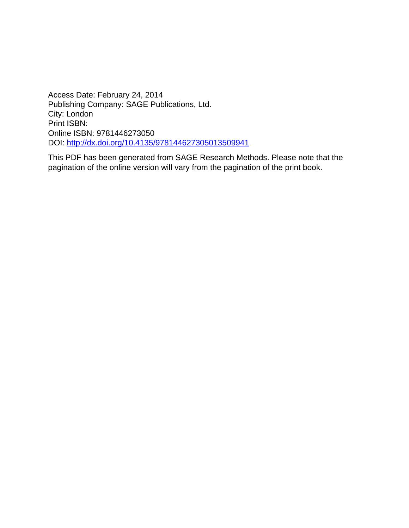Access Date: February 24, 2014 Publishing Company: SAGE Publications, Ltd. City: London Print ISBN: Online ISBN: 9781446273050 DOI:<http://dx.doi.org/10.4135/978144627305013509941>

This PDF has been generated from SAGE Research Methods. Please note that the pagination of the online version will vary from the pagination of the print book.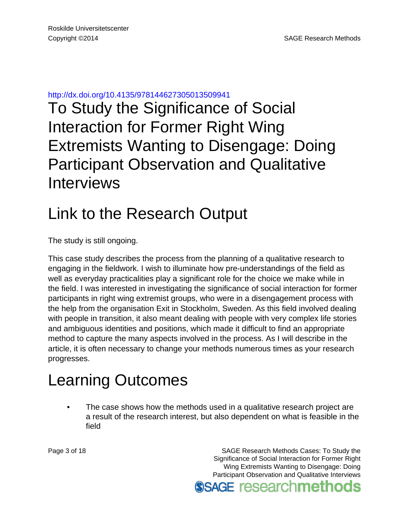<http://dx.doi.org/10.4135/978144627305013509941>

To Study the Significance of Social Interaction for Former Right Wing Extremists Wanting to Disengage: Doing Participant Observation and Qualitative Interviews

#### Link to the Research Output

The study is still ongoing.

This case study describes the process from the planning of a qualitative research to engaging in the fieldwork. I wish to illuminate how pre-understandings of the field as well as everyday practicalities play a significant role for the choice we make while in the field. I was interested in investigating the significance of social interaction for former participants in right wing extremist groups, who were in a disengagement process with the help from the organisation Exit in Stockholm, Sweden. As this field involved dealing with people in transition, it also meant dealing with people with very complex life stories and ambiguous identities and positions, which made it difficult to find an appropriate method to capture the many aspects involved in the process. As I will describe in the article, it is often necessary to change your methods numerous times as your research progresses.

### Learning Outcomes

• The case shows how the methods used in a qualitative research project are a result of the research interest, but also dependent on what is feasible in the field

Page 3 of 18 SAGE Research Methods Cases: To Study the Significance of Social Interaction for Former Right Wing Extremists Wanting to Disengage: Doing Participant Observation and Qualitative Interviews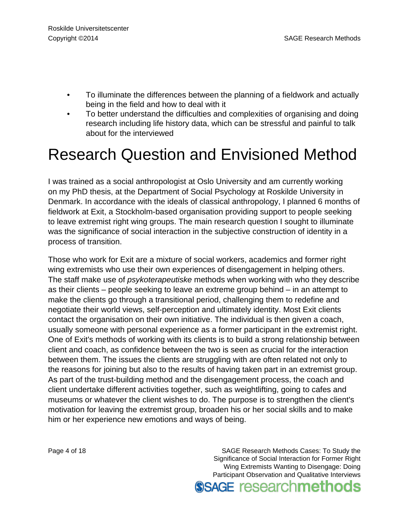- To illuminate the differences between the planning of a fieldwork and actually being in the field and how to deal with it
- To better understand the difficulties and complexities of organising and doing research including life history data, which can be stressful and painful to talk about for the interviewed

## Research Question and Envisioned Method

I was trained as a social anthropologist at Oslo University and am currently working on my PhD thesis, at the Department of Social Psychology at Roskilde University in Denmark. In accordance with the ideals of classical anthropology, I planned 6 months of fieldwork at Exit, a Stockholm-based organisation providing support to people seeking to leave extremist right wing groups. The main research question I sought to illuminate was the significance of social interaction in the subjective construction of identity in a process of transition.

Those who work for Exit are a mixture of social workers, academics and former right wing extremists who use their own experiences of disengagement in helping others. The staff make use of psykoterapeutiske methods when working with who they describe as their clients – people seeking to leave an extreme group behind – in an attempt to make the clients go through a transitional period, challenging them to redefine and negotiate their world views, self-perception and ultimately identity. Most Exit clients contact the organisation on their own initiative. The individual is then given a coach, usually someone with personal experience as a former participant in the extremist right. One of Exit's methods of working with its clients is to build a strong relationship between client and coach, as confidence between the two is seen as crucial for the interaction between them. The issues the clients are struggling with are often related not only to the reasons for joining but also to the results of having taken part in an extremist group. As part of the trust-building method and the disengagement process, the coach and client undertake different activities together, such as weightlifting, going to cafes and museums or whatever the client wishes to do. The purpose is to strengthen the client's motivation for leaving the extremist group, broaden his or her social skills and to make him or her experience new emotions and ways of being.

Page 4 of 18 SAGE Research Methods Cases: To Study the Significance of Social Interaction for Former Right Wing Extremists Wanting to Disengage: Doing Participant Observation and Qualitative Interviews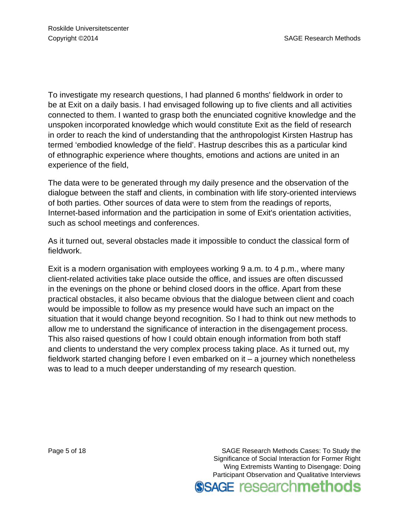To investigate my research questions, I had planned 6 months' fieldwork in order to be at Exit on a daily basis. I had envisaged following up to five clients and all activities connected to them. I wanted to grasp both the enunciated cognitive knowledge and the unspoken incorporated knowledge which would constitute Exit as the field of research in order to reach the kind of understanding that the anthropologist Kirsten Hastrup has termed 'embodied knowledge of the field'. Hastrup describes this as a particular kind of ethnographic experience where thoughts, emotions and actions are united in an experience of the field,

The data were to be generated through my daily presence and the observation of the dialogue between the staff and clients, in combination with life story-oriented interviews of both parties. Other sources of data were to stem from the readings of reports, Internet-based information and the participation in some of Exit's orientation activities, such as school meetings and conferences.

As it turned out, several obstacles made it impossible to conduct the classical form of fieldwork.

Exit is a modern organisation with employees working 9 a.m. to 4 p.m., where many client-related activities take place outside the office, and issues are often discussed in the evenings on the phone or behind closed doors in the office. Apart from these practical obstacles, it also became obvious that the dialogue between client and coach would be impossible to follow as my presence would have such an impact on the situation that it would change beyond recognition. So I had to think out new methods to allow me to understand the significance of interaction in the disengagement process. This also raised questions of how I could obtain enough information from both staff and clients to understand the very complex process taking place. As it turned out, my fieldwork started changing before I even embarked on it – a journey which nonetheless was to lead to a much deeper understanding of my research question.

Page 5 of 18 SAGE Research Methods Cases: To Study the Significance of Social Interaction for Former Right Wing Extremists Wanting to Disengage: Doing Participant Observation and Qualitative Interviews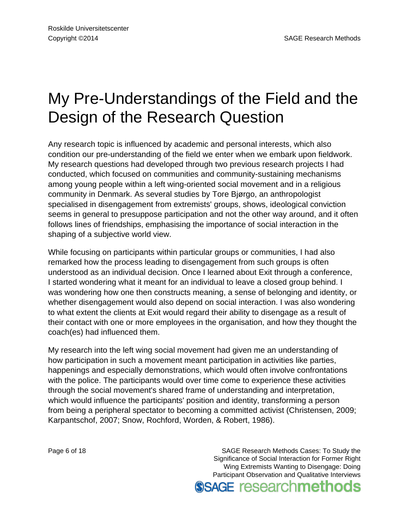## My Pre-Understandings of the Field and the Design of the Research Question

Any research topic is influenced by academic and personal interests, which also condition our pre-understanding of the field we enter when we embark upon fieldwork. My research questions had developed through two previous research projects I had conducted, which focused on communities and community-sustaining mechanisms among young people within a left wing-oriented social movement and in a religious community in Denmark. As several studies by Tore Bjørgo, an anthropologist specialised in disengagement from extremists' groups, shows, ideological conviction seems in general to presuppose participation and not the other way around, and it often follows lines of friendships, emphasising the importance of social interaction in the shaping of a subjective world view.

While focusing on participants within particular groups or communities, I had also remarked how the process leading to disengagement from such groups is often understood as an individual decision. Once I learned about Exit through a conference, I started wondering what it meant for an individual to leave a closed group behind. I was wondering how one then constructs meaning, a sense of belonging and identity, or whether disengagement would also depend on social interaction. I was also wondering to what extent the clients at Exit would regard their ability to disengage as a result of their contact with one or more employees in the organisation, and how they thought the coach(es) had influenced them.

My research into the left wing social movement had given me an understanding of how participation in such a movement meant participation in activities like parties, happenings and especially demonstrations, which would often involve confrontations with the police. The participants would over time come to experience these activities through the social movement's shared frame of understanding and interpretation, which would influence the participants' position and identity, transforming a person from being a peripheral spectator to becoming a committed activist (Christensen, 2009; Karpantschof, 2007; Snow, Rochford, Worden, & Robert, 1986).

Page 6 of 18 SAGE Research Methods Cases: To Study the Significance of Social Interaction for Former Right Wing Extremists Wanting to Disengage: Doing Participant Observation and Qualitative Interviews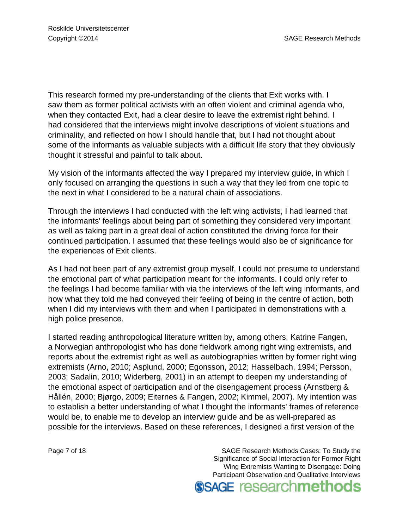This research formed my pre-understanding of the clients that Exit works with. I saw them as former political activists with an often violent and criminal agenda who, when they contacted Exit, had a clear desire to leave the extremist right behind. I had considered that the interviews might involve descriptions of violent situations and criminality, and reflected on how I should handle that, but I had not thought about some of the informants as valuable subjects with a difficult life story that they obviously thought it stressful and painful to talk about.

My vision of the informants affected the way I prepared my interview guide, in which I only focused on arranging the questions in such a way that they led from one topic to the next in what I considered to be a natural chain of associations.

Through the interviews I had conducted with the left wing activists, I had learned that the informants' feelings about being part of something they considered very important as well as taking part in a great deal of action constituted the driving force for their continued participation. I assumed that these feelings would also be of significance for the experiences of Exit clients.

As I had not been part of any extremist group myself, I could not presume to understand the emotional part of what participation meant for the informants. I could only refer to the feelings I had become familiar with via the interviews of the left wing informants, and how what they told me had conveyed their feeling of being in the centre of action, both when I did my interviews with them and when I participated in demonstrations with a high police presence.

I started reading anthropological literature written by, among others, Katrine Fangen, a Norwegian anthropologist who has done fieldwork among right wing extremists, and reports about the extremist right as well as autobiographies written by former right wing extremists (Arno, 2010; Asplund, 2000; Egonsson, 2012; Hasselbach, 1994; Persson, 2003; Sadalin, 2010; Widerberg, 2001) in an attempt to deepen my understanding of the emotional aspect of participation and of the disengagement process (Arnstberg & Hållén, 2000; Bjørgo, 2009; Eiternes & Fangen, 2002; Kimmel, 2007). My intention was to establish a better understanding of what I thought the informants' frames of reference would be, to enable me to develop an interview guide and be as well-prepared as possible for the interviews. Based on these references, I designed a first version of the

Page 7 of 18 SAGE Research Methods Cases: To Study the Significance of Social Interaction for Former Right Wing Extremists Wanting to Disengage: Doing Participant Observation and Qualitative Interviews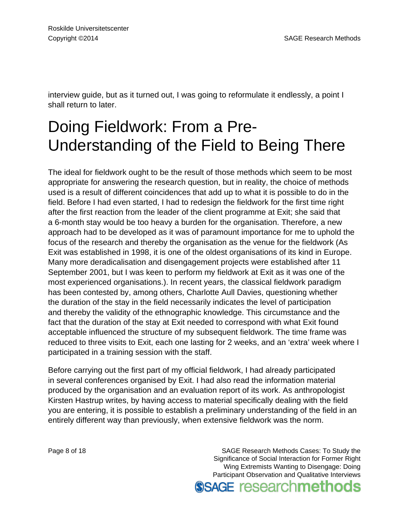interview guide, but as it turned out, I was going to reformulate it endlessly, a point I shall return to later.

## Doing Fieldwork: From a Pre-Understanding of the Field to Being There

The ideal for fieldwork ought to be the result of those methods which seem to be most appropriate for answering the research question, but in reality, the choice of methods used is a result of different coincidences that add up to what it is possible to do in the field. Before I had even started, I had to redesign the fieldwork for the first time right after the first reaction from the leader of the client programme at Exit; she said that a 6-month stay would be too heavy a burden for the organisation. Therefore, a new approach had to be developed as it was of paramount importance for me to uphold the focus of the research and thereby the organisation as the venue for the fieldwork (As Exit was established in 1998, it is one of the oldest organisations of its kind in Europe. Many more deradicalisation and disengagement projects were established after 11 September 2001, but I was keen to perform my fieldwork at Exit as it was one of the most experienced organisations.). In recent years, the classical fieldwork paradigm has been contested by, among others, Charlotte Aull Davies, questioning whether the duration of the stay in the field necessarily indicates the level of participation and thereby the validity of the ethnographic knowledge. This circumstance and the fact that the duration of the stay at Exit needed to correspond with what Exit found acceptable influenced the structure of my subsequent fieldwork. The time frame was reduced to three visits to Exit, each one lasting for 2 weeks, and an 'extra' week where I participated in a training session with the staff.

Before carrying out the first part of my official fieldwork, I had already participated in several conferences organised by Exit. I had also read the information material produced by the organisation and an evaluation report of its work. As anthropologist Kirsten Hastrup writes, by having access to material specifically dealing with the field you are entering, it is possible to establish a preliminary understanding of the field in an entirely different way than previously, when extensive fieldwork was the norm.

Page 8 of 18 SAGE Research Methods Cases: To Study the Significance of Social Interaction for Former Right Wing Extremists Wanting to Disengage: Doing Participant Observation and Qualitative Interviews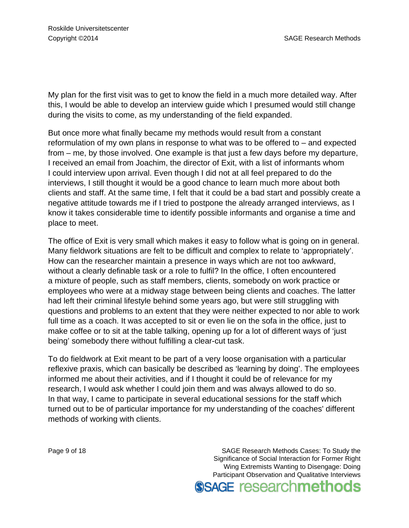My plan for the first visit was to get to know the field in a much more detailed way. After this, I would be able to develop an interview guide which I presumed would still change during the visits to come, as my understanding of the field expanded.

But once more what finally became my methods would result from a constant reformulation of my own plans in response to what was to be offered to – and expected from – me, by those involved. One example is that just a few days before my departure, I received an email from Joachim, the director of Exit, with a list of informants whom I could interview upon arrival. Even though I did not at all feel prepared to do the interviews, I still thought it would be a good chance to learn much more about both clients and staff. At the same time, I felt that it could be a bad start and possibly create a negative attitude towards me if I tried to postpone the already arranged interviews, as I know it takes considerable time to identify possible informants and organise a time and place to meet.

The office of Exit is very small which makes it easy to follow what is going on in general. Many fieldwork situations are felt to be difficult and complex to relate to 'appropriately'. How can the researcher maintain a presence in ways which are not too awkward, without a clearly definable task or a role to fulfil? In the office, I often encountered a mixture of people, such as staff members, clients, somebody on work practice or employees who were at a midway stage between being clients and coaches. The latter had left their criminal lifestyle behind some years ago, but were still struggling with questions and problems to an extent that they were neither expected to nor able to work full time as a coach. It was accepted to sit or even lie on the sofa in the office, just to make coffee or to sit at the table talking, opening up for a lot of different ways of 'just being' somebody there without fulfilling a clear-cut task.

To do fieldwork at Exit meant to be part of a very loose organisation with a particular reflexive praxis, which can basically be described as 'learning by doing'. The employees informed me about their activities, and if I thought it could be of relevance for my research, I would ask whether I could join them and was always allowed to do so. In that way, I came to participate in several educational sessions for the staff which turned out to be of particular importance for my understanding of the coaches' different methods of working with clients.

Page 9 of 18 SAGE Research Methods Cases: To Study the Significance of Social Interaction for Former Right Wing Extremists Wanting to Disengage: Doing Participant Observation and Qualitative Interviews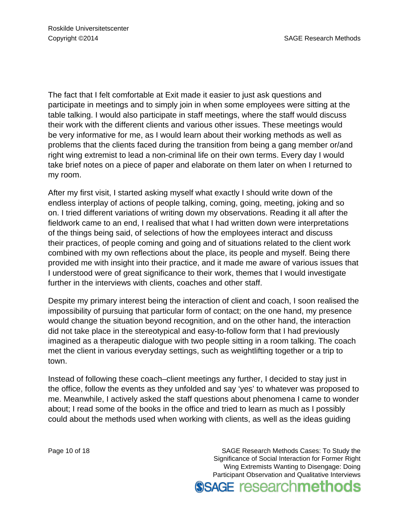The fact that I felt comfortable at Exit made it easier to just ask questions and participate in meetings and to simply join in when some employees were sitting at the table talking. I would also participate in staff meetings, where the staff would discuss their work with the different clients and various other issues. These meetings would be very informative for me, as I would learn about their working methods as well as problems that the clients faced during the transition from being a gang member or/and right wing extremist to lead a non-criminal life on their own terms. Every day I would take brief notes on a piece of paper and elaborate on them later on when I returned to my room.

After my first visit, I started asking myself what exactly I should write down of the endless interplay of actions of people talking, coming, going, meeting, joking and so on. I tried different variations of writing down my observations. Reading it all after the fieldwork came to an end, I realised that what I had written down were interpretations of the things being said, of selections of how the employees interact and discuss their practices, of people coming and going and of situations related to the client work combined with my own reflections about the place, its people and myself. Being there provided me with insight into their practice, and it made me aware of various issues that I understood were of great significance to their work, themes that I would investigate further in the interviews with clients, coaches and other staff.

Despite my primary interest being the interaction of client and coach, I soon realised the impossibility of pursuing that particular form of contact; on the one hand, my presence would change the situation beyond recognition, and on the other hand, the interaction did not take place in the stereotypical and easy-to-follow form that I had previously imagined as a therapeutic dialogue with two people sitting in a room talking. The coach met the client in various everyday settings, such as weightlifting together or a trip to town.

Instead of following these coach–client meetings any further, I decided to stay just in the office, follow the events as they unfolded and say 'yes' to whatever was proposed to me. Meanwhile, I actively asked the staff questions about phenomena I came to wonder about; I read some of the books in the office and tried to learn as much as I possibly could about the methods used when working with clients, as well as the ideas guiding

Page 10 of 18 SAGE Research Methods Cases: To Study the Significance of Social Interaction for Former Right Wing Extremists Wanting to Disengage: Doing Participant Observation and Qualitative Interviews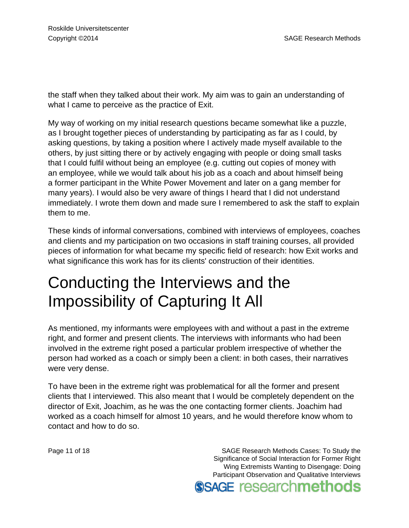the staff when they talked about their work. My aim was to gain an understanding of what I came to perceive as the practice of Exit.

My way of working on my initial research questions became somewhat like a puzzle, as I brought together pieces of understanding by participating as far as I could, by asking questions, by taking a position where I actively made myself available to the others, by just sitting there or by actively engaging with people or doing small tasks that I could fulfil without being an employee (e.g. cutting out copies of money with an employee, while we would talk about his job as a coach and about himself being a former participant in the White Power Movement and later on a gang member for many years). I would also be very aware of things I heard that I did not understand immediately. I wrote them down and made sure I remembered to ask the staff to explain them to me.

These kinds of informal conversations, combined with interviews of employees, coaches and clients and my participation on two occasions in staff training courses, all provided pieces of information for what became my specific field of research: how Exit works and what significance this work has for its clients' construction of their identities.

## Conducting the Interviews and the Impossibility of Capturing It All

As mentioned, my informants were employees with and without a past in the extreme right, and former and present clients. The interviews with informants who had been involved in the extreme right posed a particular problem irrespective of whether the person had worked as a coach or simply been a client: in both cases, their narratives were very dense.

To have been in the extreme right was problematical for all the former and present clients that I interviewed. This also meant that I would be completely dependent on the director of Exit, Joachim, as he was the one contacting former clients. Joachim had worked as a coach himself for almost 10 years, and he would therefore know whom to contact and how to do so.

Page 11 of 18 SAGE Research Methods Cases: To Study the Significance of Social Interaction for Former Right Wing Extremists Wanting to Disengage: Doing Participant Observation and Qualitative Interviews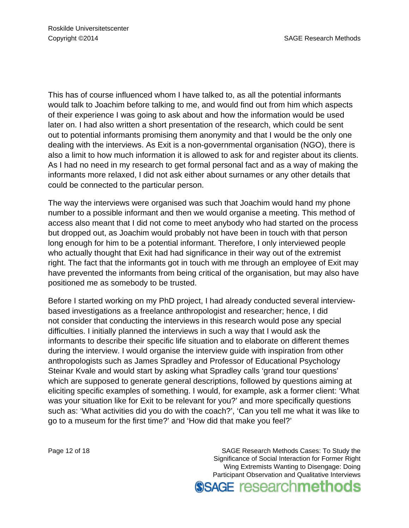This has of course influenced whom I have talked to, as all the potential informants would talk to Joachim before talking to me, and would find out from him which aspects of their experience I was going to ask about and how the information would be used later on. I had also written a short presentation of the research, which could be sent out to potential informants promising them anonymity and that I would be the only one dealing with the interviews. As Exit is a non-governmental organisation (NGO), there is also a limit to how much information it is allowed to ask for and register about its clients. As I had no need in my research to get formal personal fact and as a way of making the informants more relaxed, I did not ask either about surnames or any other details that could be connected to the particular person.

The way the interviews were organised was such that Joachim would hand my phone number to a possible informant and then we would organise a meeting. This method of access also meant that I did not come to meet anybody who had started on the process but dropped out, as Joachim would probably not have been in touch with that person long enough for him to be a potential informant. Therefore, I only interviewed people who actually thought that Exit had had significance in their way out of the extremist right. The fact that the informants got in touch with me through an employee of Exit may have prevented the informants from being critical of the organisation, but may also have positioned me as somebody to be trusted.

Before I started working on my PhD project, I had already conducted several interviewbased investigations as a freelance anthropologist and researcher; hence, I did not consider that conducting the interviews in this research would pose any special difficulties. I initially planned the interviews in such a way that I would ask the informants to describe their specific life situation and to elaborate on different themes during the interview. I would organise the interview guide with inspiration from other anthropologists such as James Spradley and Professor of Educational Psychology Steinar Kvale and would start by asking what Spradley calls 'grand tour questions' which are supposed to generate general descriptions, followed by questions aiming at eliciting specific examples of something. I would, for example, ask a former client: 'What was your situation like for Exit to be relevant for you?' and more specifically questions such as: 'What activities did you do with the coach?', 'Can you tell me what it was like to go to a museum for the first time?' and 'How did that make you feel?'

Page 12 of 18 SAGE Research Methods Cases: To Study the Significance of Social Interaction for Former Right Wing Extremists Wanting to Disengage: Doing Participant Observation and Qualitative Interviews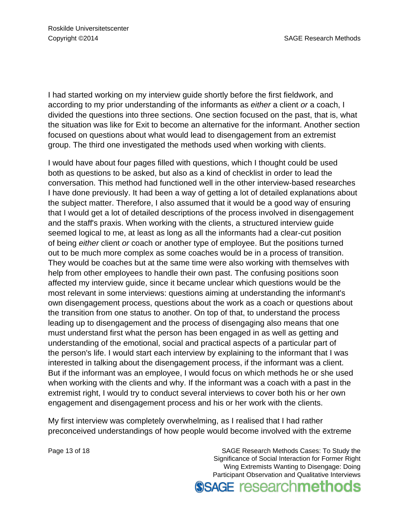I had started working on my interview guide shortly before the first fieldwork, and according to my prior understanding of the informants as either a client or a coach, I divided the questions into three sections. One section focused on the past, that is, what the situation was like for Exit to become an alternative for the informant. Another section focused on questions about what would lead to disengagement from an extremist group. The third one investigated the methods used when working with clients.

I would have about four pages filled with questions, which I thought could be used both as questions to be asked, but also as a kind of checklist in order to lead the conversation. This method had functioned well in the other interview-based researches I have done previously. It had been a way of getting a lot of detailed explanations about the subject matter. Therefore, I also assumed that it would be a good way of ensuring that I would get a lot of detailed descriptions of the process involved in disengagement and the staff's praxis. When working with the clients, a structured interview guide seemed logical to me, at least as long as all the informants had a clear-cut position of being either client or coach or another type of employee. But the positions turned out to be much more complex as some coaches would be in a process of transition. They would be coaches but at the same time were also working with themselves with help from other employees to handle their own past. The confusing positions soon affected my interview guide, since it became unclear which questions would be the most relevant in some interviews: questions aiming at understanding the informant's own disengagement process, questions about the work as a coach or questions about the transition from one status to another. On top of that, to understand the process leading up to disengagement and the process of disengaging also means that one must understand first what the person has been engaged in as well as getting and understanding of the emotional, social and practical aspects of a particular part of the person's life. I would start each interview by explaining to the informant that I was interested in talking about the disengagement process, if the informant was a client. But if the informant was an employee, I would focus on which methods he or she used when working with the clients and why. If the informant was a coach with a past in the extremist right, I would try to conduct several interviews to cover both his or her own engagement and disengagement process and his or her work with the clients.

My first interview was completely overwhelming, as I realised that I had rather preconceived understandings of how people would become involved with the extreme

Page 13 of 18 SAGE Research Methods Cases: To Study the Significance of Social Interaction for Former Right Wing Extremists Wanting to Disengage: Doing Participant Observation and Qualitative Interviews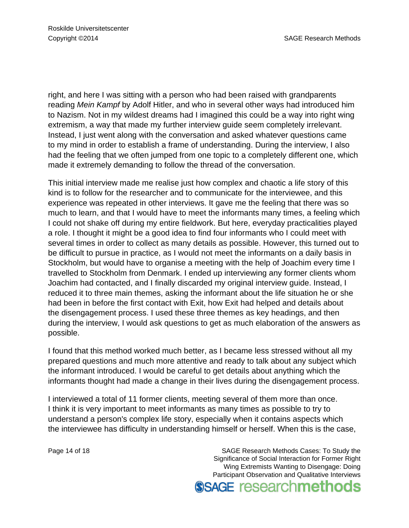right, and here I was sitting with a person who had been raised with grandparents reading Mein Kampf by Adolf Hitler, and who in several other ways had introduced him to Nazism. Not in my wildest dreams had I imagined this could be a way into right wing extremism, a way that made my further interview guide seem completely irrelevant. Instead, I just went along with the conversation and asked whatever questions came to my mind in order to establish a frame of understanding. During the interview, I also had the feeling that we often jumped from one topic to a completely different one, which made it extremely demanding to follow the thread of the conversation.

This initial interview made me realise just how complex and chaotic a life story of this kind is to follow for the researcher and to communicate for the interviewee, and this experience was repeated in other interviews. It gave me the feeling that there was so much to learn, and that I would have to meet the informants many times, a feeling which I could not shake off during my entire fieldwork. But here, everyday practicalities played a role. I thought it might be a good idea to find four informants who I could meet with several times in order to collect as many details as possible. However, this turned out to be difficult to pursue in practice, as I would not meet the informants on a daily basis in Stockholm, but would have to organise a meeting with the help of Joachim every time I travelled to Stockholm from Denmark. I ended up interviewing any former clients whom Joachim had contacted, and I finally discarded my original interview guide. Instead, I reduced it to three main themes, asking the informant about the life situation he or she had been in before the first contact with Exit, how Exit had helped and details about the disengagement process. I used these three themes as key headings, and then during the interview, I would ask questions to get as much elaboration of the answers as possible.

I found that this method worked much better, as I became less stressed without all my prepared questions and much more attentive and ready to talk about any subject which the informant introduced. I would be careful to get details about anything which the informants thought had made a change in their lives during the disengagement process.

I interviewed a total of 11 former clients, meeting several of them more than once. I think it is very important to meet informants as many times as possible to try to understand a person's complex life story, especially when it contains aspects which the interviewee has difficulty in understanding himself or herself. When this is the case,

Page 14 of 18 SAGE Research Methods Cases: To Study the Significance of Social Interaction for Former Right Wing Extremists Wanting to Disengage: Doing Participant Observation and Qualitative Interviews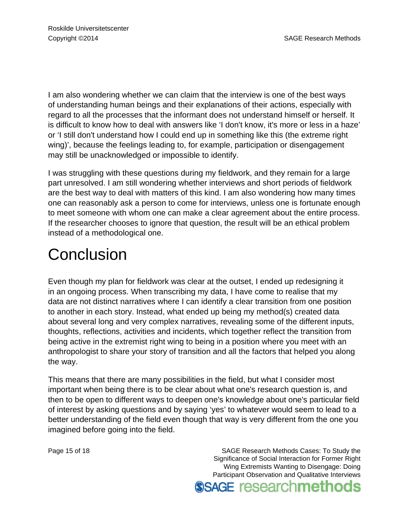I am also wondering whether we can claim that the interview is one of the best ways of understanding human beings and their explanations of their actions, especially with regard to all the processes that the informant does not understand himself or herself. It is difficult to know how to deal with answers like 'I don't know, it's more or less in a haze' or 'I still don't understand how I could end up in something like this (the extreme right wing)', because the feelings leading to, for example, participation or disengagement may still be unacknowledged or impossible to identify.

I was struggling with these questions during my fieldwork, and they remain for a large part unresolved. I am still wondering whether interviews and short periods of fieldwork are the best way to deal with matters of this kind. I am also wondering how many times one can reasonably ask a person to come for interviews, unless one is fortunate enough to meet someone with whom one can make a clear agreement about the entire process. If the researcher chooses to ignore that question, the result will be an ethical problem instead of a methodological one.

#### **Conclusion**

Even though my plan for fieldwork was clear at the outset, I ended up redesigning it in an ongoing process. When transcribing my data, I have come to realise that my data are not distinct narratives where I can identify a clear transition from one position to another in each story. Instead, what ended up being my method(s) created data about several long and very complex narratives, revealing some of the different inputs, thoughts, reflections, activities and incidents, which together reflect the transition from being active in the extremist right wing to being in a position where you meet with an anthropologist to share your story of transition and all the factors that helped you along the way.

This means that there are many possibilities in the field, but what I consider most important when being there is to be clear about what one's research question is, and then to be open to different ways to deepen one's knowledge about one's particular field of interest by asking questions and by saying 'yes' to whatever would seem to lead to a better understanding of the field even though that way is very different from the one you imagined before going into the field.

Page 15 of 18 SAGE Research Methods Cases: To Study the Significance of Social Interaction for Former Right Wing Extremists Wanting to Disengage: Doing Participant Observation and Qualitative Interviews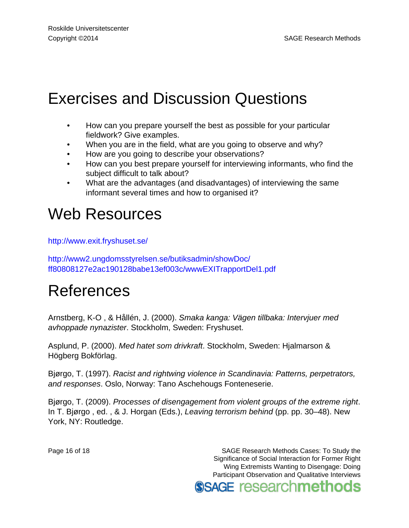## Exercises and Discussion Questions

- How can you prepare yourself the best as possible for your particular fieldwork? Give examples.
- When you are in the field, what are you going to observe and why?
- How are you going to describe your observations?
- How can you best prepare yourself for interviewing informants, who find the subject difficult to talk about?
- What are the advantages (and disadvantages) of interviewing the same informant several times and how to organised it?

#### Web Resources

<http://www.exit.fryshuset.se/>

[http://www2.ungdomsstyrelsen.se/butiksadmin/showDoc/](http://www2.ungdomsstyrelsen.se/butiksadmin/showDoc/ff80808127e2ac190128babe13ef003c/wwwEXITrapportDel1.pdf) [ff80808127e2ac190128babe13ef003c/wwwEXITrapportDel1.pdf](http://www2.ungdomsstyrelsen.se/butiksadmin/showDoc/ff80808127e2ac190128babe13ef003c/wwwEXITrapportDel1.pdf)

#### References

Arnstberg, K-O , & Hållén, J. (2000). Smaka kanga: Vägen tillbaka: Intervjuer med avhoppade nynazister. Stockholm, Sweden: Fryshuset.

Asplund, P. (2000). Med hatet som drivkraft. Stockholm, Sweden: Hjalmarson & Högberg Bokförlag.

Bjørgo, T. (1997). Racist and rightwing violence in Scandinavia: Patterns, perpetrators, and responses. Oslo, Norway: Tano Aschehougs Fonteneserie.

Bjørgo, T. (2009). Processes of disengagement from violent groups of the extreme right. In T. Bjørgo , ed. , & J. Horgan (Eds.), Leaving terrorism behind (pp. pp. 30–48). New York, NY: Routledge.

Page 16 of 18 SAGE Research Methods Cases: To Study the Significance of Social Interaction for Former Right Wing Extremists Wanting to Disengage: Doing Participant Observation and Qualitative Interviews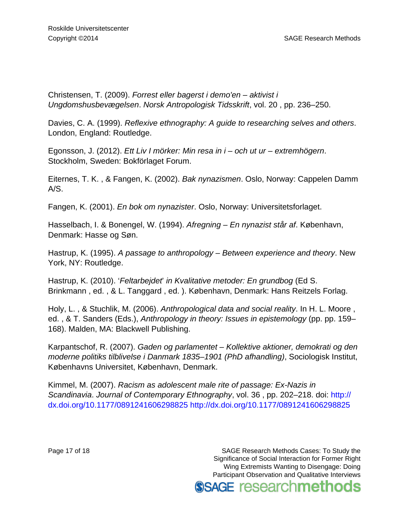Christensen, T. (2009). Forrest eller bagerst i demo'en – aktivist i Ungdomshusbevægelsen. Norsk Antropologisk Tidsskrift, vol. 20 , pp. 236–250.

Davies, C. A. (1999). Reflexive ethnography: A guide to researching selves and others. London, England: Routledge.

Egonsson, J. (2012). Ett Liv I mörker: Min resa in i – och ut ur – extremhögern. Stockholm, Sweden: Bokförlaget Forum.

Eiternes, T. K. , & Fangen, K. (2002). Bak nynazismen. Oslo, Norway: Cappelen Damm A/S.

Fangen, K. (2001). En bok om nynazister. Oslo, Norway: Universitetsforlaget.

Hasselbach, I. & Bonengel, W. (1994). Afregning – En nynazist står af. København, Denmark: Hasse og Søn.

Hastrup, K. (1995). A passage to anthropology – Between experience and theory. New York, NY: Routledge.

Hastrup, K. (2010). 'Feltarbejdet' in Kvalitative metoder: En grundbog (Ed S. Brinkmann , ed. , & L. Tanggard , ed. ). København, Denmark: Hans Reitzels Forlag.

Holy, L. , & Stuchlik, M. (2006). Anthropological data and social reality. In H. L. Moore , ed. , & T. Sanders (Eds.), Anthropology in theory: Issues in epistemology (pp. pp. 159– 168). Malden, MA: Blackwell Publishing.

Karpantschof, R. (2007). Gaden og parlamentet – Kollektive aktioner, demokrati og den moderne politiks tilblivelse i Danmark 1835–1901 (PhD afhandling), Sociologisk Institut, Københavns Universitet, København, Denmark.

Kimmel, M. (2007). Racism as adolescent male rite of passage: Ex-Nazis in Scandinavia. Journal of Contemporary Ethnography, vol. 36, pp. 202–218. doi: [http://](http://dx.doi.org/10.1177/0891241606298825) [dx.doi.org/10.1177/0891241606298825](http://dx.doi.org/10.1177/0891241606298825) <http://dx.doi.org/10.1177/0891241606298825>

Page 17 of 18 SAGE Research Methods Cases: To Study the Significance of Social Interaction for Former Right Wing Extremists Wanting to Disengage: Doing Participant Observation and Qualitative Interviews